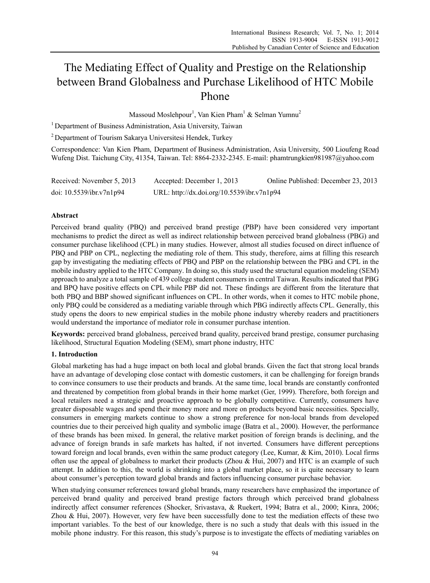# The Mediating Effect of Quality and Prestige on the Relationship between Brand Globalness and Purchase Likelihood of HTC Mobile Phone

Massoud Moslehpour<sup>1</sup>, Van Kien Pham<sup>1</sup> & Selman Yumnu<sup>2</sup>

<sup>1</sup> Department of Business Administration, Asia University, Taiwan

2 Department of Tourism Sakarya Universitesi Hendek, Turkey

Correspondence: Van Kien Pham, Department of Business Administration, Asia University, 500 Lioufeng Road Wufeng Dist. Taichung City, 41354, Taiwan. Tel: 8864-2332-2345. E-mail: phamtrungkien981987@yahoo.com

| Received: November 5, 2013 | Accepted: December 1, 2013                 | Online Published: December 23, 2013 |
|----------------------------|--------------------------------------------|-------------------------------------|
| doi: 10.5539/ibr.v7n1p94   | URL: http://dx.doi.org/10.5539/ibr.v7n1p94 |                                     |

# **Abstract**

Perceived brand quality (PBQ) and perceived brand prestige (PBP) have been considered very important mechanisms to predict the direct as well as indirect relationship between perceived brand globalness (PBG) and consumer purchase likelihood (CPL) in many studies. However, almost all studies focused on direct influence of PBQ and PBP on CPL, neglecting the mediating role of them. This study, therefore, aims at filling this research gap by investigating the mediating effects of PBQ and PBP on the relationship between the PBG and CPL in the mobile industry applied to the HTC Company. In doing so, this study used the structural equation modeling (SEM) approach to analyze a total sample of 439 college student consumers in central Taiwan. Results indicated that PBG and BPQ have positive effects on CPL while PBP did not. These findings are different from the literature that both PBQ and BBP showed significant influences on CPL. In other words, when it comes to HTC mobile phone, only PBQ could be considered as a mediating variable through which PBG indirectly affects CPL. Generally, this study opens the doors to new empirical studies in the mobile phone industry whereby readers and practitioners would understand the importance of mediator role in consumer purchase intention.

**Keywords:** perceived brand globalness, perceived brand quality, perceived brand prestige, consumer purchasing likelihood, Structural Equation Modeling (SEM), smart phone industry, HTC

## **1. Introduction**

Global marketing has had a huge impact on both local and global brands. Given the fact that strong local brands have an advantage of developing close contact with domestic customers, it can be challenging for foreign brands to convince consumers to use their products and brands. At the same time, local brands are constantly confronted and threatened by competition from global brands in their home market (Ger, 1999). Therefore, both foreign and local retailers need a strategic and proactive approach to be globally competitive. Currently, consumers have greater disposable wages and spend their money more and more on products beyond basic necessities. Specially, consumers in emerging markets continue to show a strong preference for non-local brands from developed countries due to their perceived high quality and symbolic image (Batra et al., 2000). However, the performance of these brands has been mixed. In general, the relative market position of foreign brands is declining, and the advance of foreign brands in safe markets has halted, if not inverted. Consumers have different perceptions toward foreign and local brands, even within the same product category (Lee, Kumar, & Kim, 2010). Local firms often use the appeal of globalness to market their products (Zhou & Hui, 2007) and HTC is an example of such attempt. In addition to this, the world is shrinking into a global market place, so it is quite necessary to learn about consumer's perception toward global brands and factors influencing consumer purchase behavior.

When studying consumer references toward global brands, many researchers have emphasized the importance of perceived brand quality and perceived brand prestige factors through which perceived brand globalness indirectly affect consumer references (Shocker, Srivastava, & Ruekert, 1994; Batra et al., 2000; Kinra, 2006; Zhou & Hui, 2007). However, very few have been successfully done to test the mediation effects of these two important variables. To the best of our knowledge, there is no such a study that deals with this issued in the mobile phone industry. For this reason, this study's purpose is to investigate the effects of mediating variables on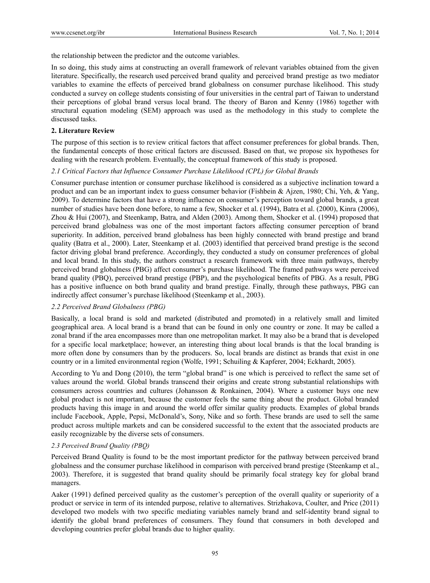the relationship between the predictor and the outcome variables.

In so doing, this study aims at constructing an overall framework of relevant variables obtained from the given literature. Specifically, the research used perceived brand quality and perceived brand prestige as two mediator variables to examine the effects of perceived brand globalness on consumer purchase likelihood. This study conducted a survey on college students consisting of four universities in the central part of Taiwan to understand their perceptions of global brand versus local brand. The theory of Baron and Kenny (1986) together with structural equation modeling (SEM) approach was used as the methodology in this study to complete the discussed tasks.

## **2. Literature Review**

The purpose of this section is to review critical factors that affect consumer preferences for global brands. Then, the fundamental concepts of those critical factors are discussed. Based on that, we propose six hypotheses for dealing with the research problem. Eventually, the conceptual framework of this study is proposed.

# *2.1 Critical Factors that Influence Consumer Purchase Likelihood (CPL) for Global Brands*

Consumer purchase intention or consumer purchase likelihood is considered as a subjective inclination toward a product and can be an important index to guess consumer behavior (Fishbein & Ajzen, 1980; Chi, Yeh, & Yang, 2009). To determine factors that have a strong influence on consumer's perception toward global brands, a great number of studies have been done before, to name a few, Shocker et al. (1994), Batra et al. (2000), Kinra (2006), Zhou & Hui (2007), and Steenkamp, Batra, and Alden (2003). Among them, Shocker et al. (1994) proposed that perceived brand globalness was one of the most important factors affecting consumer perception of brand superiority. In addition, perceived brand globalness has been highly connected with brand prestige and brand quality (Batra et al., 2000). Later, Steenkamp et al. (2003) identified that perceived brand prestige is the second factor driving global brand preference. Accordingly, they conducted a study on consumer preferences of global and local brand. In this study, the authors construct a research framework with three main pathways, thereby perceived brand globalness (PBG) affect consumer's purchase likelihood. The framed pathways were perceived brand quality (PBQ), perceived brand prestige (PBP), and the psychological benefits of PBG. As a result, PBG has a positive influence on both brand quality and brand prestige. Finally, through these pathways, PBG can indirectly affect consumer's purchase likelihood (Steenkamp et al., 2003).

# *2.2 Perceived Brand Globalness (PBG)*

Basically, a local brand is sold and marketed (distributed and promoted) in a relatively small and limited geographical area. A local brand is a brand that can be found in only one country or zone. It may be called a zonal brand if the area encompasses more than one metropolitan market. It may also be a brand that is developed for a specific local marketplace; however, an interesting thing about local brands is that the local branding is more often done by consumers than by the producers. So, local brands are distinct as brands that exist in one country or in a limited environmental region (Wolfe, 1991; Schuiling & Kapferer, 2004; Eckhardt, 2005).

According to Yu and Dong (2010), the term "global brand" is one which is perceived to reflect the same set of values around the world. Global brands transcend their origins and create strong substantial relationships with consumers across countries and cultures (Johansson & Ronkainen, 2004). Where a customer buys one new global product is not important, because the customer feels the same thing about the product. Global branded products having this image in and around the world offer similar quality products. Examples of global brands include Facebook, Apple, Pepsi, McDonald's, Sony, Nike and so forth. These brands are used to sell the same product across multiple markets and can be considered successful to the extent that the associated products are easily recognizable by the diverse sets of consumers.

## *2.3 Perceived Brand Quality (PBQ)*

Perceived Brand Quality is found to be the most important predictor for the pathway between perceived brand globalness and the consumer purchase likelihood in comparison with perceived brand prestige (Steenkamp et al., 2003). Therefore, it is suggested that brand quality should be primarily focal strategy key for global brand managers.

Aaker (1991) defined perceived quality as the customer's perception of the overall quality or superiority of a product or service in term of its intended purpose, relative to alternatives. Strizhakova, Coulter, and Price (2011) developed two models with two specific mediating variables namely brand and self-identity brand signal to identify the global brand preferences of consumers. They found that consumers in both developed and developing countries prefer global brands due to higher quality.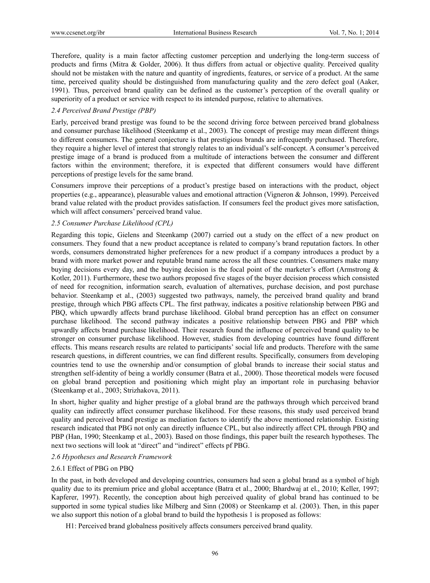Therefore, quality is a main factor affecting customer perception and underlying the long-term success of products and firms (Mitra & Golder, 2006). It thus differs from actual or objective quality. Perceived quality should not be mistaken with the nature and quantity of ingredients, features, or service of a product. At the same time, perceived quality should be distinguished from manufacturing quality and the zero defect goal (Aaker, 1991). Thus, perceived brand quality can be defined as the customer's perception of the overall quality or superiority of a product or service with respect to its intended purpose, relative to alternatives.

## *2.4 Perceived Brand Prestige (PBP)*

Early, perceived brand prestige was found to be the second driving force between perceived brand globalness and consumer purchase likelihood (Steenkamp et al., 2003). The concept of prestige may mean different things to different consumers. The general conjecture is that prestigious brands are infrequently purchased. Therefore, they require a higher level of interest that strongly relates to an individual's self-concept. A consumer's perceived prestige image of a brand is produced from a multitude of interactions between the consumer and different factors within the environment; therefore, it is expected that different consumers would have different perceptions of prestige levels for the same brand.

Consumers improve their perceptions of a product's prestige based on interactions with the product, object properties (e.g., appearance), pleasurable values and emotional attraction (Vigneron & Johnson, 1999). Perceived brand value related with the product provides satisfaction. If consumers feel the product gives more satisfaction, which will affect consumers' perceived brand value.

## *2.5 Consumer Purchase Likelihood (CPL)*

Regarding this topic, Gielens and Steenkamp (2007) carried out a study on the effect of a new product on consumers. They found that a new product acceptance is related to company's brand reputation factors. In other words, consumers demonstrated higher preferences for a new product if a company introduces a product by a brand with more market power and reputable brand name across the all these countries. Consumers make many buying decisions every day, and the buying decision is the focal point of the marketer's effort (Armstrong & Kotler, 2011). Furthermore, these two authors proposed five stages of the buyer decision process which consisted of need for recognition, information search, evaluation of alternatives, purchase decision, and post purchase behavior. Steenkamp et al., (2003) suggested two pathways, namely, the perceived brand quality and brand prestige, through which PBG affects CPL. The first pathway, indicates a positive relationship between PBG and PBQ, which upwardly affects brand purchase likelihood. Global brand perception has an effect on consumer purchase likelihood. The second pathway indicates a positive relationship between PBG and PBP which upwardly affects brand purchase likelihood. Their research found the influence of perceived brand quality to be stronger on consumer purchase likelihood. However, studies from developing countries have found different effects. This means research results are related to participants' social life and products. Therefore with the same research questions, in different countries, we can find different results. Specifically, consumers from developing countries tend to use the ownership and/or consumption of global brands to increase their social status and strengthen self-identity of being a worldly consumer (Batra et al., 2000). Those theoretical models were focused on global brand perception and positioning which might play an important role in purchasing behavior (Steenkamp et al., 2003; Strizhakova, 2011).

In short, higher quality and higher prestige of a global brand are the pathways through which perceived brand quality can indirectly affect consumer purchase likelihood. For these reasons, this study used perceived brand quality and perceived brand prestige as mediation factors to identify the above mentioned relationship. Existing research indicated that PBG not only can directly influence CPL, but also indirectly affect CPL through PBQ and PBP (Han, 1990; Steenkamp et al., 2003). Based on those findings, this paper built the research hypotheses. The next two sections will look at "direct" and "indirect" effects pf PBG.

## *2.6 Hypotheses and Research Framework*

## 2.6.1 Effect of PBG on PBQ

In the past, in both developed and developing countries, consumers had seen a global brand as a symbol of high quality due to its premium price and global acceptance (Batra et al., 2000; Bhardwaj at el., 2010; Keller, 1997; Kapferer, 1997). Recently, the conception about high perceived quality of global brand has continued to be supported in some typical studies like Milberg and Sinn (2008) or Steenkamp et al. (2003). Then, in this paper we also support this notion of a global brand to build the hypothesis 1 is proposed as follows:

H1: Perceived brand globalness positively affects consumers perceived brand quality.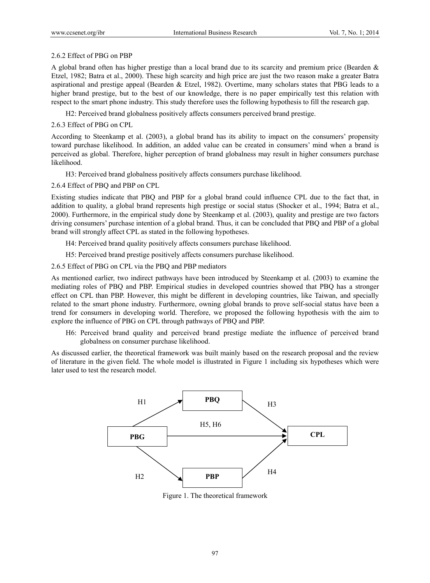# 2.6.2 Effect of PBG on PBP

A global brand often has higher prestige than a local brand due to its scarcity and premium price (Bearden & Etzel, 1982; Batra et al., 2000). These high scarcity and high price are just the two reason make a greater Batra aspirational and prestige appeal (Bearden & Etzel, 1982). Overtime, many scholars states that PBG leads to a higher brand prestige, but to the best of our knowledge, there is no paper empirically test this relation with respect to the smart phone industry. This study therefore uses the following hypothesis to fill the research gap.

H2: Perceived brand globalness positively affects consumers perceived brand prestige.

# 2.6.3 Effect of PBG on CPL

According to Steenkamp et al. (2003), a global brand has its ability to impact on the consumers' propensity toward purchase likelihood. In addition, an added value can be created in consumers' mind when a brand is perceived as global. Therefore, higher perception of brand globalness may result in higher consumers purchase likelihood.

H3: Perceived brand globalness positively affects consumers purchase likelihood.

2.6.4 Effect of PBQ and PBP on CPL

Existing studies indicate that PBQ and PBP for a global brand could influence CPL due to the fact that, in addition to quality, a global brand represents high prestige or social status (Shocker et al., 1994; Batra et al., 2000). Furthermore, in the empirical study done by Steenkamp et al. (2003), quality and prestige are two factors driving consumers' purchase intention of a global brand. Thus, it can be concluded that PBQ and PBP of a global brand will strongly affect CPL as stated in the following hypotheses.

H4: Perceived brand quality positively affects consumers purchase likelihood.

H5: Perceived brand prestige positively affects consumers purchase likelihood.

2.6.5 Effect of PBG on CPL via the PBQ and PBP mediators

As mentioned earlier, two indirect pathways have been introduced by Steenkamp et al. (2003) to examine the mediating roles of PBQ and PBP. Empirical studies in developed countries showed that PBQ has a stronger effect on CPL than PBP. However, this might be different in developing countries, like Taiwan, and specially related to the smart phone industry. Furthermore, owning global brands to prove self-social status have been a trend for consumers in developing world. Therefore, we proposed the following hypothesis with the aim to explore the influence of PBG on CPL through pathways of PBQ and PBP.

H6: Perceived brand quality and perceived brand prestige mediate the influence of perceived brand globalness on consumer purchase likelihood.

As discussed earlier, the theoretical framework was built mainly based on the research proposal and the review of literature in the given field. The whole model is illustrated in Figure 1 including six hypotheses which were later used to test the research model.



Figure 1. The theoretical framework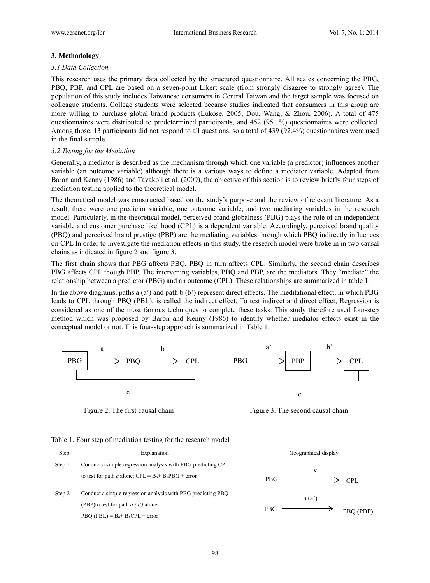# **3. Methodology**

## *3.1 Data Collection*

This research uses the primary data collected by the structured questionnaire. All scales concerning the PBG, PBQ, PBP, and CPL are based on a seven-point Likert scale (from strongly disagree to strongly agree). The population of this study includes Taiwanese consumers in Central Taiwan and the target sample was focused on colleague students. College students were selected because studies indicated that consumers in this group are more willing to purchase global brand products (Lukose, 2005; Dou, Wang, & Zhou, 2006). A total of 475 questionnaires were distributed to predetermined participants, and 452 (95.1%) questionnaires were collected. Among those, 13 participants did not respond to all questions, so a total of 439 (92.4%) questionnaires were used in the final sample.

# *3.2 Testing for the Mediation*

Generally, a mediator is described as the mechanism through which one variable (a predictor) influences another variable (an outcome variable) although there is a various ways to define a mediator variable. Adapted from Baron and Kenny (1986) and Tavakoli et al. (2009), the objective of this section is to review briefly four steps of mediation testing applied to the theoretical model.

The theoretical model was constructed based on the study's purpose and the review of relevant literature. As a result, there were one predictor variable, one outcome variable, and two mediating variables in the research model. Particularly, in the theoretical model, perceived brand globalness (PBG) plays the role of an independent variable and customer purchase likelihood (CPL) is a dependent variable. Accordingly, perceived brand quality (PBQ) and perceived brand prestige (PBP) are the mediating variables through which PBQ indirectly influences on CPL In order to investigate the mediation effects in this study, the research model were broke in in two causal chains as indicated in figure 2 and figure 3.

The first chain shows that PBG affects PBQ, PBQ in turn affects CPL. Similarly, the second chain describes PBG affects CPL though PBP. The intervening variables, PBQ and PBP, are the mediators. They "mediate" the relationship between a predictor (PBG) and an outcome (CPL). These relationships are summarized in table 1.

In the above diagrams, paths a (a') and path b (b') represent direct effects. The meditational effect, in which PBG leads to CPL through PBQ (PBL), is called the indirect effect. To test indirect and direct effect, Regression is considered as one of the most famous techniques to complete these tasks. This study therefore used four-step method which was proposed by Baron and Kenny (1986) to identify whether mediator effects exist in the conceptual model or not. This four-step approach is summarized in Table 1.



Figure 2. The first causal chain

Figure 3. The second causal chain

|  |  | Table 1. Four step of mediation testing for the research model |
|--|--|----------------------------------------------------------------|
|  |  |                                                                |

| Step   | Explanation                                                  | Geographical display              |
|--------|--------------------------------------------------------------|-----------------------------------|
| Step 1 | Conduct a simple regression analysis with PBG predicting CPL |                                   |
|        | to test for path c alone: $CPL = B_0 + B_1 PBG + error$      | $\mathbf{c}$<br><b>PBG</b><br>CPL |
| Step 2 | Conduct a simple regression analysis with PBG predicting PBQ | a(a)                              |
|        | (PBP) to test for path $a(a')$ alone:                        | <b>PBG</b>                        |
|        | $PBO (PBL) = B_0 + B_1 CPL + error$                          | PBO (PBP)                         |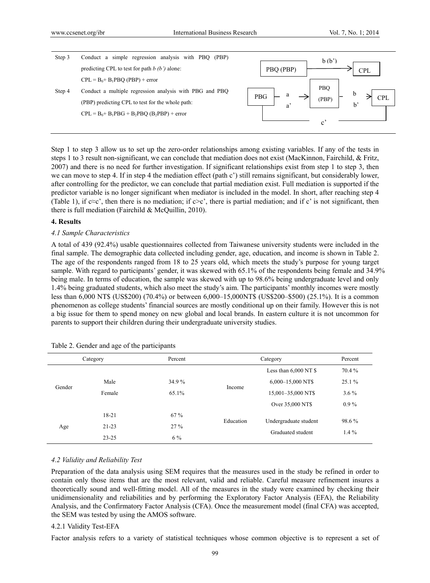| Step 3 | Conduct a simple regression analysis with PBQ (PBP)     | b(b')                                 |
|--------|---------------------------------------------------------|---------------------------------------|
|        | predicting CPL to test for path $b/b'$ alone:           | PBQ (PBP)<br><b>CPL</b>               |
|        | $CPL = B_0 + B_1 P B Q (PBP) + error$                   |                                       |
| Step 4 | Conduct a multiple regression analysis with PBG and PBQ | <b>PBO</b>                            |
|        | (PBP) predicting CPL to test for the whole path:        | <b>PBG</b><br>CPL<br>(PBP)<br>h'<br>a |
|        | $CPL = B_0 + B_1 PBG + B_2 PBO (B_2 PBP) + error$       |                                       |
|        |                                                         |                                       |

Step 1 to step 3 allow us to set up the zero-order relationships among existing variables. If any of the tests in steps 1 to 3 result non-significant, we can conclude that mediation does not exist (MacKinnon, Fairchild, & Fritz, 2007) and there is no need for further investigation. If significant relationships exist from step 1 to step 3, then we can move to step 4. If in step 4 the mediation effect (path c') still remains significant, but considerably lower, after controlling for the predictor, we can conclude that partial mediation exist. Full mediation is supported if the predictor variable is no longer significant when mediator is included in the model. In short, after reaching step 4 (Table 1), if  $c \approx c'$ , then there is no mediation; if  $c \ge c'$ , there is partial mediation; and if c' is not significant, then there is full mediation (Fairchild & McQuillin, 2010).

#### **4. Results**

#### *4.1 Sample Characteristics*

A total of 439 (92.4%) usable questionnaires collected from Taiwanese university students were included in the final sample. The demographic data collected including gender, age, education, and income is shown in Table 2. The age of the respondents ranged from 18 to 25 years old, which meets the study's purpose for young target sample. With regard to participants' gender, it was skewed with 65.1% of the respondents being female and 34.9% being male. In terms of education, the sample was skewed with up to 98.6% being undergraduate level and only 1.4% being graduated students, which also meet the study's aim. The participants' monthly incomes were mostly less than 6,000 NT\$ (US\$200) (70.4%) or between 6,000–15,000NT\$ (US\$200–\$500) (25.1%). It is a common phenomenon as college students' financial sources are mostly conditional up on their family. However this is not a big issue for them to spend money on new global and local brands. In eastern culture it is not uncommon for parents to support their children during their undergraduate university studies.

|        | Category  | Percent |           | Category                 |         |
|--------|-----------|---------|-----------|--------------------------|---------|
|        |           |         |           | Less than $6,000$ NT $$$ | 70.4 %  |
|        | Male      | 34.9%   |           | 6,000-15,000 NT\$        | 25.1%   |
| Gender | Female    | 65.1%   | Income    | 15,001-35,000 NT\$       | $3.6\%$ |
|        |           |         |           | Over 35,000 NT\$         | $0.9\%$ |
|        | $18 - 21$ | 67%     |           |                          |         |
| Age    | $21 - 23$ | 27%     | Education | Undergraduate student    | 98.6 %  |
|        | $23 - 25$ | $6\%$   |           | Graduated student        | $1.4\%$ |

Table 2. Gender and age of the participants

#### *4.2 Validity and Reliability Test*

Preparation of the data analysis using SEM requires that the measures used in the study be refined in order to contain only those items that are the most relevant, valid and reliable. Careful measure refinement insures a theoretically sound and well-fitting model. All of the measures in the study were examined by checking their unidimensionality and reliabilities and by performing the Exploratory Factor Analysis (EFA), the Reliability Analysis, and the Confirmatory Factor Analysis (CFA). Once the measurement model (final CFA) was accepted, the SEM was tested by using the AMOS software.

#### 4.2.1 Validity Test-EFA

Factor analysis refers to a variety of statistical techniques whose common objective is to represent a set of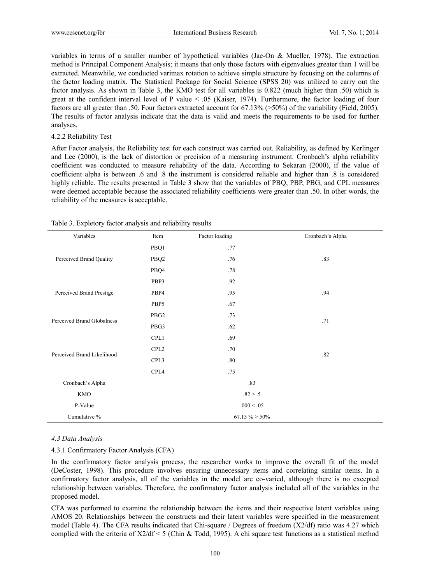variables in terms of a smaller number of hypothetical variables (Jae-On & Mueller, 1978). The extraction method is Principal Component Analysis; it means that only those factors with eigenvalues greater than 1 will be extracted. Meanwhile, we conducted varimax rotation to achieve simple structure by focusing on the columns of the factor loading matrix. The Statistical Package for Social Science (SPSS 20) was utilized to carry out the factor analysis. As shown in Table 3, the KMO test for all variables is 0.822 (much higher than .50) which is great at the confident interval level of P value < .05 (Kaiser, 1974). Furthermore, the factor loading of four factors are all greater than .50. Four factors extracted account for 67.13% (>50%) of the variability (Field, 2005). The results of factor analysis indicate that the data is valid and meets the requirements to be used for further analyses.

## 4.2.2 Reliability Test

After Factor analysis, the Reliability test for each construct was carried out. Reliability, as defined by Kerlinger and Lee (2000), is the lack of distortion or precision of a measuring instrument. Cronbach's alpha reliability coefficient was conducted to measure reliability of the data. According to Sekaran (2000), if the value of coefficient alpha is between .6 and .8 the instrument is considered reliable and higher than .8 is considered highly reliable. The results presented in Table 3 show that the variables of PBQ, PBP, PBG, and CPL measures were deemed acceptable because the associated reliability coefficients were greater than .50. In other words, the reliability of the measures is acceptable.

| Variables                  | Factor loading<br>Item |                  | Cronbach's Alpha |  |
|----------------------------|------------------------|------------------|------------------|--|
|                            | PBQ1                   | .77              |                  |  |
| Perceived Brand Quality    | PBQ <sub>2</sub>       | .76              | .83              |  |
|                            | PBQ4                   | .78              |                  |  |
| Perceived Brand Prestige   | PBP3                   | .92              |                  |  |
|                            | PBP4                   | .95              | .94              |  |
|                            | PBP5                   | .67              |                  |  |
| Perceived Brand Globalness | PBG <sub>2</sub>       | .73              | .71              |  |
|                            | PBG3                   | .62              |                  |  |
|                            | CPL1                   | .69              |                  |  |
| Perceived Brand Likelihood | CPL <sub>2</sub>       | .70              |                  |  |
|                            | CPL3                   | .80              | .82              |  |
|                            | CPL4                   | .75              |                  |  |
| Cronbach's Alpha           |                        | .83              |                  |  |
| KMO                        |                        | .82 > .5         |                  |  |
| P-Value                    | .000 < .05             |                  |                  |  |
| Cumulative %               |                        | $67.13\% > 50\%$ |                  |  |

| Table 3. Expletory factor analysis and reliability results |  |  |  |
|------------------------------------------------------------|--|--|--|
|                                                            |  |  |  |

## *4.3 Data Analysis*

## 4.3.1 Confirmatory Factor Analysis (CFA)

In the confirmatory factor analysis process, the researcher works to improve the overall fit of the model (DeCoster, 1998). This procedure involves ensuring unnecessary items and correlating similar items. In a confirmatory factor analysis, all of the variables in the model are co-varied, although there is no excepted relationship between variables. Therefore, the confirmatory factor analysis included all of the variables in the proposed model.

CFA was performed to examine the relationship between the items and their respective latent variables using AMOS 20. Relationships between the constructs and their latent variables were specified in the measurement model (Table 4). The CFA results indicated that Chi-square / Degrees of freedom (X2/df) ratio was 4.27 which complied with the criteria of  $X2/df \le 5$  (Chin & Todd, 1995). A chi square test functions as a statistical method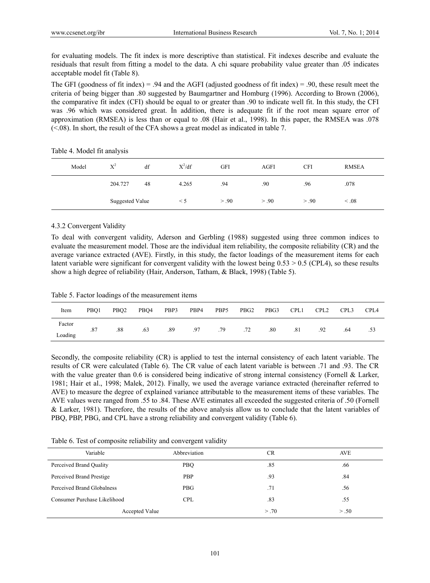for evaluating models. The fit index is more descriptive than statistical. Fit indexes describe and evaluate the residuals that result from fitting a model to the data. A chi square probability value greater than .05 indicates acceptable model fit (Table 8).

The GFI (goodness of fit index) = .94 and the AGFI (adjusted goodness of fit index) = .90, these result meet the criteria of being bigger than .80 suggested by Baumgartner and Homburg (1996). According to Brown (2006), the comparative fit index (CFI) should be equal to or greater than .90 to indicate well fit. In this study, the CFI was .96 which was considered great. İn addition, there is adequate fit if the root mean square error of approximation (RMSEA) is less than or equal to .08 (Hair et al., 1998). In this paper, the RMSEA was .078 (<.08). In short, the result of the CFA shows a great model as indicated in table 7.

|  |  |  | Table 4. Model fit analysis |
|--|--|--|-----------------------------|
|--|--|--|-----------------------------|

| Model | $X^2$           | df | $X^2/df$ | <b>GFI</b> | AGFI  | <b>CFI</b> | <b>RMSEA</b> |
|-------|-----------------|----|----------|------------|-------|------------|--------------|
|       | 204.727         | 48 | 4.265    | .94        | .90   | .96        | .078         |
|       | Suggested Value |    | $\leq$ 5 | > .90      | > .90 | > .90      | < .08        |

# 4.3.2 Convergent Validity

To deal with convergent validity, Aderson and Gerbling (1988) suggested using three common indices to evaluate the measurement model. Those are the individual item reliability, the composite reliability (CR) and the average variance extracted (AVE). Firstly, in this study, the factor loadings of the measurement items for each latent variable were significant for convergent validity with the lowest being  $0.53 > 0.5$  (CPL4), so these results show a high degree of reliability (Hair, Anderson, Tatham, & Black, 1998) (Table 5).

Table 5. Factor loadings of the measurement items

| Item    | PBO <sub>1</sub> | PBO <sub>2</sub> | PBO4 | PBP3 | PBP4 | PBP5 | PBG2 | PBG3 | CPL1 | CPL <sub>2</sub> | CPL3 | CPL <sub>4</sub> |
|---------|------------------|------------------|------|------|------|------|------|------|------|------------------|------|------------------|
| Factor  | .87              | .88              | .63  | .89  | .97  | .79  | .72  | .80  | .81  | .92              | .64  | .53              |
| Loading |                  |                  |      |      |      |      |      |      |      |                  |      |                  |

Secondly, the composite reliability (CR) is applied to test the internal consistency of each latent variable. The results of CR were calculated (Table 6). The CR value of each latent variable is between .71 and .93. The CR with the value greater than 0.6 is considered being indicative of strong internal consistency (Fornell & Larker, 1981; Hair et al., 1998; Malek, 2012). Finally, we used the average variance extracted (hereinafter referred to AVE) to measure the degree of explained variance attributable to the measurement items of these variables. The AVE values were ranged from .55 to .84. These AVE estimates all exceeded the suggested criteria of .50 (Fornell & Larker, 1981). Therefore, the results of the above analysis allow us to conclude that the latent variables of PBQ, PBP, PBG, and CPL have a strong reliability and convergent validity (Table 6).

Table 6. Test of composite reliability and convergent validity

| Variable                     | Abbreviation | CR.   | <b>AVE</b> |
|------------------------------|--------------|-------|------------|
| Perceived Brand Quality      | PBO          | .85   | .66        |
| Perceived Brand Prestige     | <b>PBP</b>   | .93   | .84        |
| Perceived Brand Globalness   | <b>PBG</b>   | .71   | .56        |
| Consumer Purchase Likelihood | <b>CPL</b>   | .83   | .55        |
| Accepted Value               |              | > .70 | > .50      |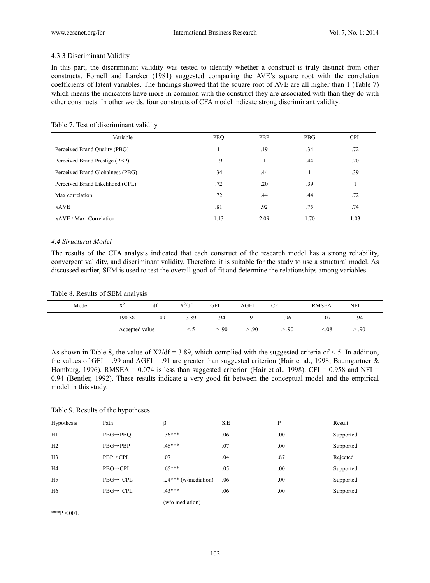# 4.3.3 Discriminant Validity

In this part, the discriminant validity was tested to identify whether a construct is truly distinct from other constructs. Fornell and Larcker (1981) suggested comparing the AVE's square root with the correlation coefficients of latent variables. The findings showed that the square root of AVE are all higher than 1 (Table 7) which means the indicators have more in common with the construct they are associated with than they do with other constructs. In other words, four constructs of CFA model indicate strong discriminant validity.

| Variable                         | <b>PBO</b> | PBP  | <b>PBG</b> | <b>CPL</b> |
|----------------------------------|------------|------|------------|------------|
| Perceived Brand Quality (PBQ)    |            | .19  | .34        | .72        |
| Perceived Brand Prestige (PBP)   | .19        |      | .44        | .20        |
| Perceived Brand Globalness (PBG) | .34        | .44  |            | .39        |
| Perceived Brand Likelihood (CPL) | .72        | .20  | .39        |            |
| Max correlation                  | .72        | .44  | .44        | .72        |
| $\sqrt{AVE}$                     | .81        | .92  | .75        | .74        |
| VAVE / Max. Correlation          | 1.13       | 2.09 | 1.70       | 1.03       |

## Table 7. Test of discriminant validity

## *4.4 Structural Model*

The results of the CFA analysis indicated that each construct of the research model has a strong reliability, convergent validity, and discriminant validity. Therefore, it is suitable for the study to use a structural model. As discussed earlier, SEM is used to test the overall good-of-fit and determine the relationships among variables.

|  |  |  | Table 8. Results of SEM analysis |
|--|--|--|----------------------------------|
|--|--|--|----------------------------------|

| Model | $\mathbf{v}^2$<br>∡⊾ | df | $X^2/df$ | GFI | <b>AGFI</b> | <b>CFI</b> | <b>RMSEA</b> | NFI   |  |
|-------|----------------------|----|----------|-----|-------------|------------|--------------|-------|--|
|       | 190.58               | 49 | 3.89     | .94 | .91         | .96        | .07          | .94   |  |
|       | Accepted value       |    |          | .90 | > .90       | > .90      | < 0.08       | > .90 |  |

As shown in Table 8, the value of  $X2/df = 3.89$ , which complied with the suggested criteria of  $\leq 5$ . In addition, the values of GFI = .99 and AGFI = .91 are greater than suggested criterion (Hair et al., 1998; Baumgartner  $\&$ Homburg, 1996). RMSEA =  $0.074$  is less than suggested criterion (Hair et al., 1998). CFI = 0.958 and NFI = 0.94 (Bentler, 1992). These results indicate a very good fit between the conceptual model and the empirical model in this study.

## Table 9. Results of the hypotheses

| Hypothesis     | Path                  |                        | S.E | P   | Result    |
|----------------|-----------------------|------------------------|-----|-----|-----------|
| H1             | $PBG \rightarrow PBO$ | $36***$                | .06 | .00 | Supported |
| H2             | $PBG \rightarrow PBP$ | $.46***$               | .07 | .00 | Supported |
| H <sub>3</sub> | $PBP \rightarrow CPL$ | .07                    | .04 | .87 | Rejected  |
| H4             | $PBO \rightarrow CPL$ | $.65***$               | .05 | .00 | Supported |
| H <sub>5</sub> | $PBG \rightarrow CPL$ | $.24***$ (w/mediation) | .06 | .00 | Supported |
| H6             | $PBG \rightarrow CPL$ | $43***$                | .06 | .00 | Supported |
|                |                       | (w/o mediation)        |     |     |           |

\*\*\*P <.001.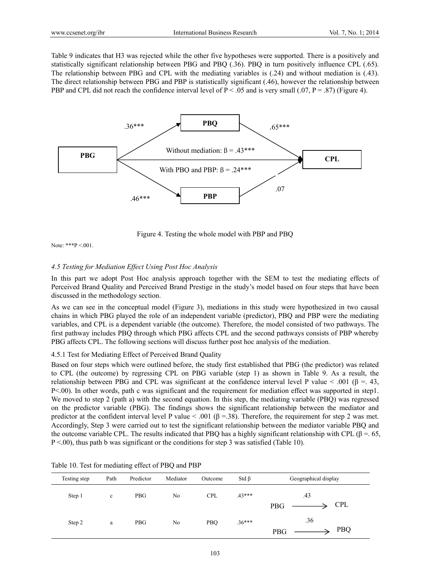Table 9 indicates that H3 was rejected while the other five hypotheses were supported. There is a positively and statistically significant relationship between PBG and PBQ (.36). PBQ in turn positively influence CPL (.65). The relationship between PBG and CPL with the mediating variables is (.24) and without mediation is (.43). The direct relationship between PBG and PBP is statistically significant (.46), however the relationship between PBP and CPL did not reach the confidence interval level of  $P < .05$  and is very small (.07, P = .87) (Figure 4).



Figure 4. Testing the whole model with PBP and PBQ

Note: \*\*\*P <.001.

# *4.5 Testing for Mediation Effect Using Post Hoc Analysis*

In this part we adopt Post Hoc analysis approach together with the SEM to test the mediating effects of Perceived Brand Quality and Perceived Brand Prestige in the study's model based on four steps that have been discussed in the methodology section.

As we can see in the conceptual model (Figure 3), mediations in this study were hypothesized in two causal chains in which PBG played the role of an independent variable (predictor), PBQ and PBP were the mediating variables, and CPL is a dependent variable (the outcome). Therefore, the model consisted of two pathways. The first pathway includes PBQ through which PBG affects CPL and the second pathways consists of PBP whereby PBG affects CPL. The following sections will discuss further post hoc analysis of the mediation.

## 4.5.1 Test for Mediating Effect of Perceived Brand Quality

Based on four steps which were outlined before, the study first established that PBG (the predictor) was related to CPL (the outcome) by regressing CPL on PBG variable (step 1) as shown in Table 9. As a result, the relationship between PBG and CPL was significant at the confidence interval level P value < .001 (β =. 43, P<.00). In other words, path c was significant and the requirement for mediation effect was supported in step1. We moved to step 2 (path a) with the second equation. In this step, the mediating variable (PBQ) was regressed on the predictor variable (PBG). The findings shows the significant relationship between the mediator and predictor at the confident interval level P value  $\leq$  .001 ( $\beta$  =.38). Therefore, the requirement for step 2 was met. Accordingly, Step 3 were carried out to test the significant relationship between the mediator variable PBQ and the outcome variable CPL. The results indicated that PBQ has a highly significant relationship with CPL ( $\beta$  = .65,  $P < 0.00$ , thus path b was significant or the conditions for step 3 was satisfied (Table 10).

| Testing step | Path        | Predictor  | Mediator | Outcome    | $Std \beta$ | Geographical display     |
|--------------|-------------|------------|----------|------------|-------------|--------------------------|
| Step 1       | $\mathbf c$ | <b>PBG</b> | No       | <b>CPL</b> | $.43***$    | .43<br><b>CPL</b><br>PBG |
| Step 2       | a           | <b>PBG</b> | No       | PBQ        | $.36***$    | .36<br><b>PBQ</b><br>PBG |

Table 10. Test for mediating effect of PBQ and PBP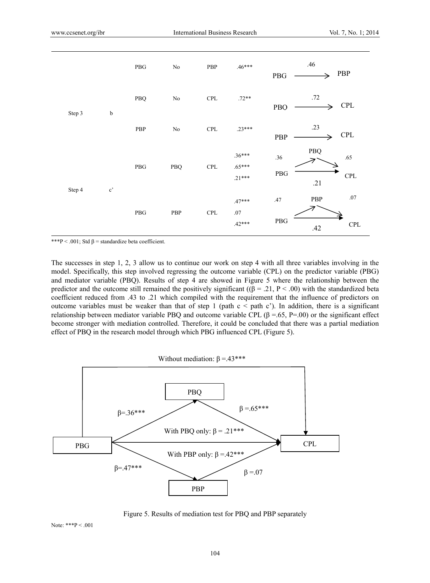

\*\*\*P < .001; Std  $\beta$  = standardize beta coefficient.

The successes in step 1, 2, 3 allow us to continue our work on step 4 with all three variables involving in the model. Specifically, this step involved regressing the outcome variable (CPL) on the predictor variable (PBG) and mediator variable (PBQ). Results of step 4 are showed in Figure 5 where the relationship between the predictor and the outcome still remained the positively significant ( $(\beta = .21, P < .00)$ ) with the standardized beta coefficient reduced from .43 to .21 which compiled with the requirement that the influence of predictors on outcome variables must be weaker than that of step 1 (path  $c <$  path c'). In addition, there is a significant relationship between mediator variable PBQ and outcome variable CPL (β =.65, P=.00) or the significant effect become stronger with mediation controlled. Therefore, it could be concluded that there was a partial mediation effect of PBQ in the research model through which PBG influenced CPL (Figure 5).



Figure 5. Results of mediation test for PBQ and PBP separately

Note: \*\*\*P < .001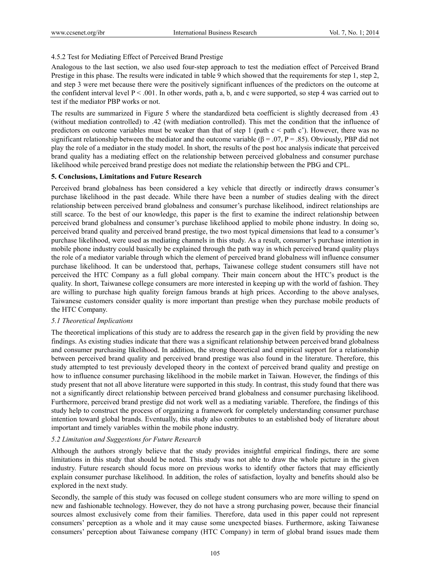# 4.5.2 Test for Mediating Effect of Perceived Brand Prestige

Analogous to the last section, we also used four-step approach to test the mediation effect of Perceived Brand Prestige in this phase. The results were indicated in table 9 which showed that the requirements for step 1, step 2, and step 3 were met because there were the positively significant influences of the predictors on the outcome at the confident interval level  $P < .001$ . In other words, path a, b, and c were supported, so step 4 was carried out to test if the mediator PBP works or not.

The results are summarized in Figure 5 where the standardized beta coefficient is slightly decreased from .43 (without mediation controlled) to .42 (with mediation controlled). This met the condition that the influence of predictors on outcome variables must be weaker than that of step 1 (path  $c <$  path  $c'$ ). However, there was no significant relationship between the mediator and the outcome variable ( $\beta$  = .07, P = .85). Obviously, PBP did not play the role of a mediator in the study model. In short, the results of the post hoc analysis indicate that perceived brand quality has a mediating effect on the relationship between perceived globalness and consumer purchase likelihood while perceived brand prestige does not mediate the relationship between the PBG and CPL.

# **5. Conclusions, Limitations and Future Research**

Perceived brand globalness has been considered a key vehicle that directly or indirectly draws consumer's purchase likelihood in the past decade. While there have been a number of studies dealing with the direct relationship between perceived brand globalness and consumer's purchase likelihood, indirect relationships are still scarce. To the best of our knowledge, this paper is the first to examine the indirect relationship between perceived brand globalness and consumer's purchase likelihood applied to mobile phone industry. In doing so, perceived brand quality and perceived brand prestige, the two most typical dimensions that lead to a consumer's purchase likelihood, were used as mediating channels in this study. As a result, consumer's purchase intention in mobile phone industry could basically be explained through the path way in which perceived brand quality plays the role of a mediator variable through which the element of perceived brand globalness will influence consumer purchase likelihood. It can be understood that, perhaps, Taiwanese college student consumers still have not perceived the HTC Company as a full global company. Their main concern about the HTC's product is the quality. In short, Taiwanese college consumers are more interested in keeping up with the world of fashion. They are willing to purchase high quality foreign famous brands at high prices. According to the above analyses, Taiwanese customers consider quality is more important than prestige when they purchase mobile products of the HTC Company.

# *5.1 Theoretical Implications*

The theoretical implications of this study are to address the research gap in the given field by providing the new findings. As existing studies indicate that there was a significant relationship between perceived brand globalness and consumer purchasing likelihood. In addition, the strong theoretical and empirical support for a relationship between perceived brand quality and perceived brand prestige was also found in the literature. Therefore, this study attempted to test previously developed theory in the context of perceived brand quality and prestige on how to influence consumer purchasing likelihood in the mobile market in Taiwan. However, the findings of this study present that not all above literature were supported in this study. In contrast, this study found that there was not a significantly direct relationship between perceived brand globalness and consumer purchasing likelihood. Furthermore, perceived brand prestige did not work well as a mediating variable. Therefore, the findings of this study help to construct the process of organizing a framework for completely understanding consumer purchase intention toward global brands. Eventually, this study also contributes to an established body of literature about important and timely variables within the mobile phone industry.

# *5.2 Limitation and Suggestions for Future Research*

Although the authors strongly believe that the study provides insightful empirical findings, there are some limitations in this study that should be noted. This study was not able to draw the whole picture in the given industry. Future research should focus more on previous works to identify other factors that may efficiently explain consumer purchase likelihood. In addition, the roles of satisfaction, loyalty and benefits should also be explored in the next study.

Secondly, the sample of this study was focused on college student consumers who are more willing to spend on new and fashionable technology. However, they do not have a strong purchasing power, because their financial sources almost exclusively come from their families. Therefore, data used in this paper could not represent consumers' perception as a whole and it may cause some unexpected biases. Furthermore, asking Taiwanese consumers' perception about Taiwanese company (HTC Company) in term of global brand issues made them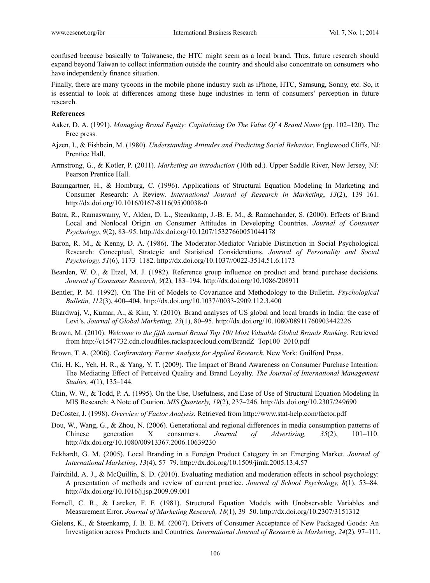confused because basically to Taiwanese, the HTC might seem as a local brand. Thus, future research should expand beyond Taiwan to collect information outside the country and should also concentrate on consumers who have independently finance situation.

Finally, there are many tycoons in the mobile phone industry such as iPhone, HTC, Samsung, Sonny, etc. So, it is essential to look at differences among these huge industries in term of consumers' perception in future research.

# **References**

- Aaker, D. A. (1991). *Managing Brand Equity: Capitalizing On The Value Of A Brand Name* (pp. 102–120). The Free press.
- Ajzen, I., & Fishbein, M. (1980). *Understanding Attitudes and Predicting Social Behavior*. Englewood Cliffs, NJ: Prentice Hall.
- Armstrong, G., & Kotler, P. (2011). *Marketing an introduction* (10th ed.)*.* Upper Saddle River, New Jersey, NJ: Pearson Prentice Hall.
- Baumgartner, H., & Homburg, C. (1996). Applications of Structural Equation Modeling In Marketing and Consumer Research: A Review. *International Journal of Research in Marketing*, *13*(2), 139–161. http://dx.doi.org/10.1016/0167-8116(95)00038-0
- Batra, R., Ramaswamy, V., Alden, D. L., Steenkamp, J.-B. E. M., & Ramachander, S. (2000). Effects of Brand Local and Nonlocal Origin on Consumer Attitudes in Developing Countries. *Journal of Consumer Psychology*, *9*(2), 83–95. http://dx.doi.org/10.1207/15327660051044178
- Baron, R. M., & Kenny, D. A. (1986). The Moderator-Mediator Variable Distinction in Social Psychological Research: Conceptual, Strategic and Statistical Considerations. *Journal of Personality and Social Psychology, 51*(6), 1173–1182. http://dx.doi.org/10.1037//0022-3514.51.6.1173
- Bearden, W. O., & Etzel, M. J. (1982). Reference group influence on product and brand purchase decisions. *Journal of Consumer Research, 9*(2), 183–194. http://dx.doi.org/10.1086/208911
- Bentler, P. M. (1992). On The Fit of Models to Covariance and Methodology to the Bulletin. *Psychological Bulletin, 112*(3), 400–404. http://dx.doi.org/10.1037//0033-2909.112.3.400
- Bhardwaj, V., Kumar, A., & Kim, Y. (2010). Brand analyses of US global and local brands in India: the case of Levi's. *Journal of Global Marketing, 23*(1), 80–95. http://dx.doi.org/10.1080/08911760903442226
- Brown, M. (2010). *Welcome to the fifth annual Brand Top 100 Most Valuable Global Brands Ranking.* Retrieved from http://c1547732.cdn.cloudfiles.rackspacecloud.com/BrandZ\_Top100\_2010.pdf
- Brown, T. A. (2006). *Confirmatory Factor Analysis for Applied Research.* New York: Guilford Press.
- Chi, H. K., Yeh, H. R., & Yang, Y. T. (2009). The Impact of Brand Awareness on Consumer Purchase Intention: The Mediating Effect of Perceived Quality and Brand Loyalty. *The Journal of International Management Studies, 4*(1), 135–144.
- Chin, W. W., & Todd, P. A. (1995). On the Use, Usefulness, and Ease of Use of Structural Equation Modeling In MIS Research: A Note of Caution. *MIS Quarterly, 19*(2), 237–246. http://dx.doi.org/10.2307/249690
- DeCoster, J. (1998). *Overview of Factor Analysis.* Retrieved from http://www.stat-help.com/factor.pdf
- Dou, W., Wang, G., & Zhou, N. (2006). Generational and regional differences in media consumption patterns of Chinese generation X consumers. *Journal of Advertising, 35*(2), 101–110. http://dx.doi.org/10.1080/00913367.2006.10639230
- Eckhardt, G. M. (2005). Local Branding in a Foreign Product Category in an Emerging Market. *Journal of International Marketing*, *13*(4), 57–79. http://dx.doi.org/10.1509/jimk.2005.13.4.57
- Fairchild, A. J., & McQuillin, S. D. (2010). Evaluating mediation and moderation effects in school psychology: A presentation of methods and review of current practice. *Journal of School Psychology, 8*(1), 53–84. http://dx.doi.org/10.1016/j.jsp.2009.09.001
- Fornell, C. R., & Larcker, F. F. (1981). Structural Equation Models with Unobservable Variables and Measurement Error. *Journal of Marketing Research, 18*(1), 39–50. http://dx.doi.org/10.2307/3151312
- Gielens, K., & Steenkamp, J. B. E. M. (2007). Drivers of Consumer Acceptance of New Packaged Goods: An Investigation across Products and Countries. *International Journal of Research in Marketing*, *24*(2), 97–111.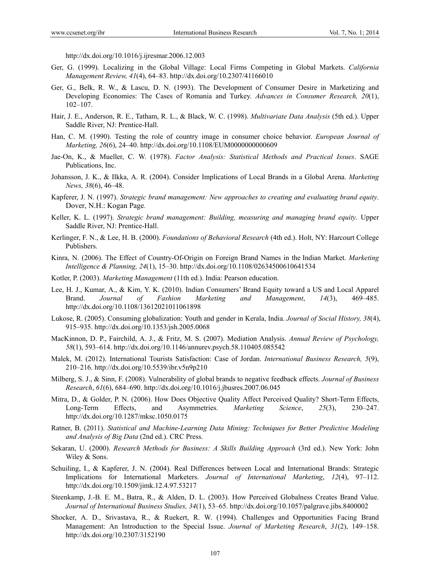http://dx.doi.org/10.1016/j.ijresmar.2006.12.003

- Ger, G. (1999). Localizing in the Global Village: Local Firms Competing in Global Markets. *California Management Review, 41*(4), 64–83. http://dx.doi.org/10.2307/41166010
- Ger, G., Belk, R. W., & Lascu, D. N. (1993). The Development of Consumer Desire in Marketizing and Developing Economies: The Cases of Romania and Turkey. *Advances in Consumer Research, 20*(1), 102–107.
- Hair, J. E., Anderson, R. E., Tatham, R. L., & Black, W. C. (1998). *Multivariate Data Analysis* (5th ed.). Upper Saddle River, NJ: Prentice-Hall.
- Han, C. M. (1990). Testing the role of country image in consumer choice behavior. *European Journal of Marketing, 26*(6), 24–40. http://dx.doi.org/10.1108/EUM0000000000609
- Jae-On, K., & Mueller, C. W. (1978). *Factor Analysis: Statistical Methods and Practical Issues*. SAGE Publications, Inc.
- Johansson, J. K., & Ilkka, A. R. (2004). Consider Implications of Local Brands in a Global Arena. *Marketing News, 38*(6), 46–48.
- Kapferer, J. N. (1997). *Strategic brand management: New approaches to creating and evaluating brand equity*. Dover, N.H.: Kogan Page*.*
- Keller, K. L. (1997). *Strategic brand management: Building, measuring and managing brand equity*. Upper Saddle River, NJ: Prentice-Hall.
- Kerlinger, F. N., & Lee, H. B. (2000). *Foundations of Behavioral Research* (4th ed.). Holt, NY: Harcourt College Publishers.
- Kinra, N. (2006). The Effect of Country-Of-Origin on Foreign Brand Names in the Indian Market. *Marketing Intelligence & Planning, 24*(1), 15–30. http://dx.doi.org/10.1108/02634500610641534
- Kotler, P. (2003). *Marketing Management* (11th ed.). India: Pearson education.
- Lee, H. J., Kumar, A., & Kim, Y. K. (2010). Indian Consumers' Brand Equity toward a US and Local Apparel Brand. *Journal of Fashion Marketing and Management*, *14*(3), 469–485. http://dx.doi.org/10.1108/13612021011061898
- Lukose, R. (2005). Consuming globalization: Youth and gender in Kerala, India. *Journal of Social History, 38*(4), 915–935. http://dx.doi.org/10.1353/jsh.2005.0068
- MacKinnon, D. P., Fairchild, A. J., & Fritz, M. S. (2007). Mediation Analysis. *Annual Review of Psychology, 58*(1), 593–614. http://dx.doi.org/10.1146/annurev.psych.58.110405.085542
- Malek, M. (2012). International Tourists Satisfaction: Case of Jordan. *International Business Research, 5*(9), 210–216. http://dx.doi.org/10.5539/ibr.v5n9p210
- Milberg, S. J., & Sinn, F. (2008). Vulnerability of global brands to negative feedback effects. *Journal of Business Research*, *61*(6), 684–690. http://dx.doi.org/10.1016/j.jbusres.2007.06.045
- Mitra, D., & Golder, P. N. (2006). How Does Objective Quality Affect Perceived Quality? Short-Term Effects, Long-Term Effects, and Asymmetries. *Marketing Science*, *25*(3), 230–247. http://dx.doi.org/10.1287/mksc.1050.0175
- Ratner, B. (2011). *Statistical and Machine-Learning Data Mining: Techniques for Better Predictive Modeling and Analysis of Big Data* (2nd ed.). CRC Press.
- Sekaran, U. (2000). *Research Methods for Business: A Skills Building Approach* (3rd ed.). New York: John Wiley & Sons.
- Schuiling, I., & Kapferer, J. N. (2004). Real Differences between Local and International Brands: Strategic Implications for International Marketers. *Journal of International Marketing*, *12*(4), 97–112. http://dx.doi.org/10.1509/jimk.12.4.97.53217
- Steenkamp, J.-B. E. M., Batra, R., & Alden, D. L. (2003). How Perceived Globalness Creates Brand Value. *Journal of International Business Studies, 34*(1), 53–65. http://dx.doi.org/10.1057/palgrave.jibs.8400002
- Shocker, A. D., Srivastava, R., & Ruekert, R. W. (1994). Challenges and Opportunities Facing Brand Management: An Introduction to the Special Issue. *Journal of Marketing Research*, *31*(2), 149–158. http://dx.doi.org/10.2307/3152190